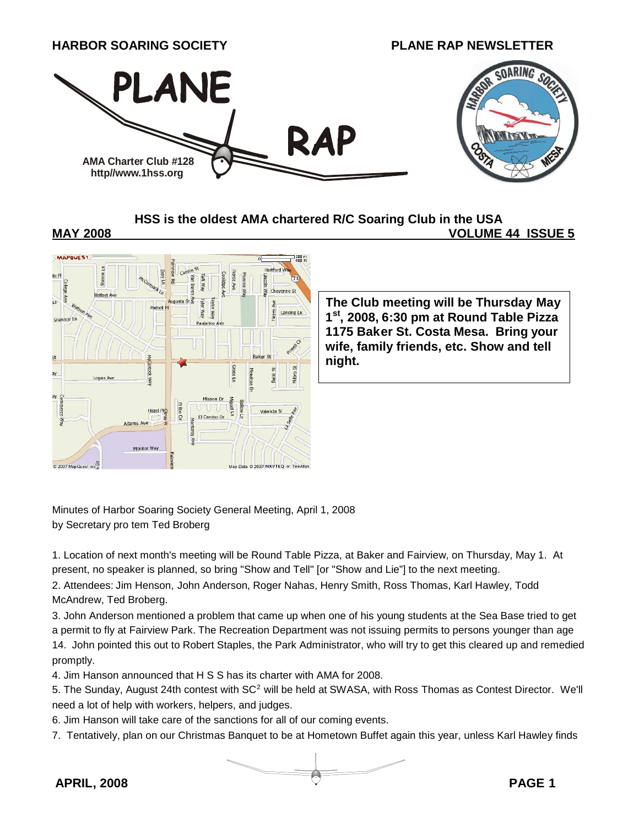

**HSS is the oldest AMA chartered R/C Soaring Club in the USA**

**MAY 2008 VOLUME 44 ISSUE 5**



**The Club meeting will be Thursday May 1 st , 2008, 6:30 pm at Round Table Pizza 1175 Baker St. Costa Mesa. Bring your wife, family friends, etc. Show and tell night.**

Minutes of Harbor Soaring Society General Meeting, April 1, 2008 by Secretary pro tem Ted Broberg

1. Location of next month's meeting will be Round Table Pizza, at Baker and Fairview, on Thursday, May 1. At present, no speaker is planned, so bring "Show and Tell" [or "Show and Lie"] to the next meeting.

2. Attendees: Jim Henson, John Anderson, Roger Nahas, Henry Smith, Ross Thomas, Karl Hawley, Todd McAndrew, Ted Broberg.

3. John Anderson mentioned a problem that came up when one of his young students at the Sea Base tried to get a permit to fly at Fairview Park. The Recreation Department was not issuing permits to persons younger than age 14. John pointed this out to Robert Staples, the Park Administrator, who will try to get this cleared up and remedied promptly.

4. Jim Hanson announced that H S S has its charter with AMA for 2008.

5. The Sunday, August 24th contest with SC<sup>2</sup> will be held at SWASA, with Ross Thomas as Contest Director. We'll need a lot of help with workers, helpers, and judges.

6. Jim Hanson will take care of the sanctions for all of our coming events.

7. Tentatively, plan on our Christmas Banquet to be at Hometown Buffet again this year, unless Karl Hawley finds

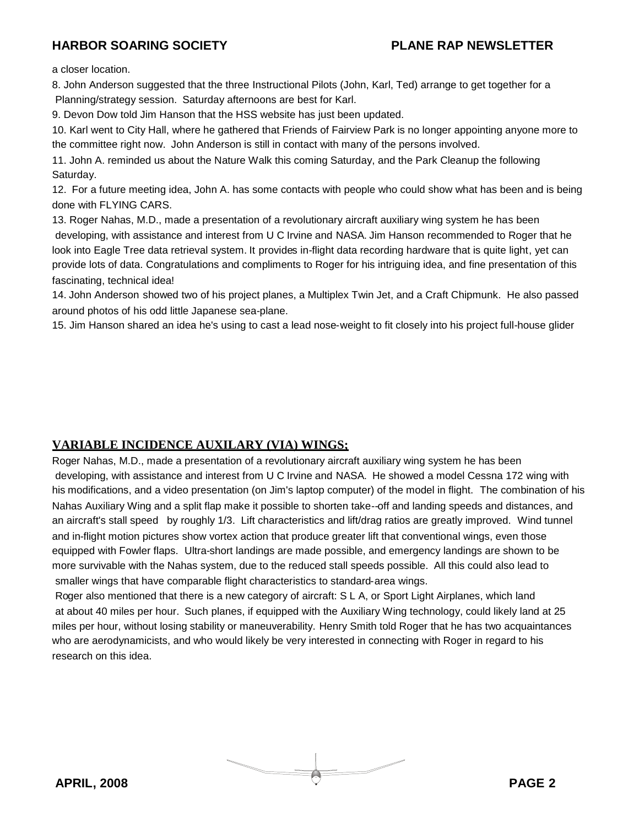a closer location.

8. John Anderson suggested that the three Instructional Pilots (John, Karl, Ted) arrange to get together for a Planning/strategy session. Saturday afternoons are best for Karl.

9. Devon Dow told Jim Hanson that the HSS website has just been updated.

10. Karl went to City Hall, where he gathered that Friends of Fairview Park is no longer appointing anyone more to the committee right now. John Anderson is still in contact with many of the persons involved.

11. John A. reminded us about the Nature Walk this coming Saturday, and the Park Cleanup the following Saturday.

12. For a future meeting idea, John A. has some contacts with people who could show what has been and is being done with FLYING CARS.

13. Roger Nahas, M.D., made a presentation of a revolutionary aircraft auxiliary wing system he has been developing, with assistance and interest from U C Irvine and NASA. Jim Hanson recommended to Roger that he look into Eagle Tree data retrieval system. It provides in-flight data recording hardware that is quite light, yet can provide lots of data. Congratulations and compliments to Roger for his intriguing idea, and fine presentation of this fascinating, technical idea!

14. John Anderson showed two of his project planes, a Multiplex Twin Jet, and a Craft Chipmunk. He also passed around photos of his odd little Japanese sea-plane.

15. Jim Hanson shared an idea he's using to cast a lead nose-weight to fit closely into his project full-house glider

#### **VARIABLE INCIDENCE AUXILARY (VIA) WINGS;**

Roger Nahas, M.D., made a presentation of a revolutionary aircraft auxiliary wing system he has been developing, with assistance and interest from U C Irvine and NASA. He showed a model Cessna 172 wing with his modifications, and a video presentation (on Jim's laptop computer) of the model in flight. The combination of his Nahas Auxiliary Wing and a split flap make it possible to shorten take--off and landing speeds and distances, and an aircraft's stall speed by roughly 1/3. Lift characteristics and lift/drag ratios are greatly improved. Wind tunnel and in-flight motion pictures show vortex action that produce greater lift that conventional wings, even those equipped with Fowler flaps. Ultra-short landings are made possible, and emergency landings are shown to be more survivable with the Nahas system, due to the reduced stall speeds possible. All this could also lead to smaller wings that have comparable flight characteristics to standard-area wings.

Roger also mentioned that there is a new category of aircraft: S L A, or Sport Light Airplanes, which land at about 40 miles per hour. Such planes, if equipped with the Auxiliary Wing technology, could likely land at 25 miles per hour, without losing stability or maneuverability. Henry Smith told Roger that he has two acquaintances who are aerodynamicists, and who would likely be very interested in connecting with Roger in regard to his research on this idea.

**APRIL, 2008 PAGE 2**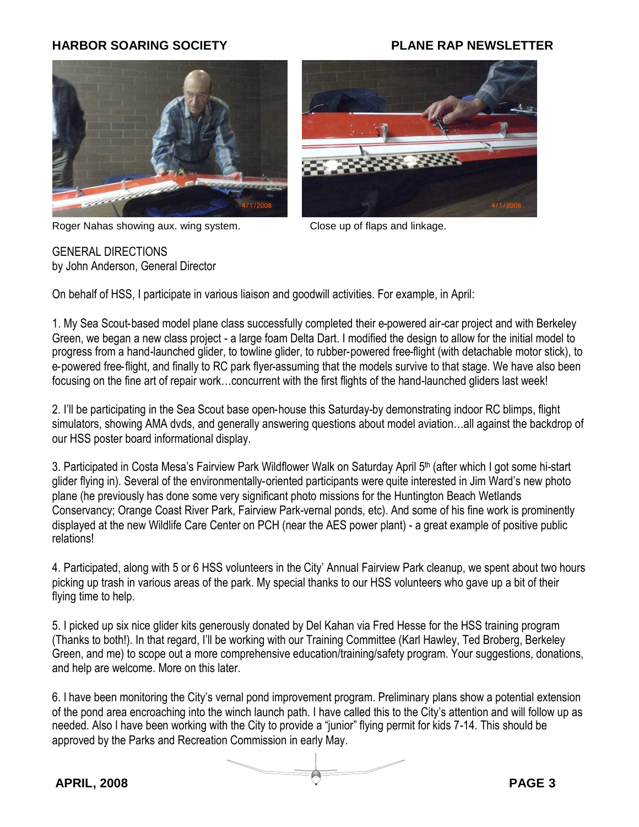

Roger Nahas showing aux. wing system. Close up of flaps and linkage.



GENERAL DIRECTIONS by John Anderson, General Director

On behalf of HSS, I participate in various liaison and goodwill activities. For example, in April:

1. My Sea Scout-based model plane class successfully completed their e-powered air-car project and with Berkeley Green, we began a new class project - a large foam Delta Dart. I modified the design to allow for the initial model to progress from a hand-launched glider, to towline glider, to rubber-powered free-flight (with detachable motor stick), to e-powered free-flight, and finally to RC park flyer-assuming that the models survive to that stage. We have also been focusing on the fine art of repair work…concurrent with the first flights of the hand-launched gliders last week!

2. I'll be participating in the Sea Scout base open-house this Saturday-by demonstrating indoor RC blimps, flight simulators, showing AMA dvds, and generally answering questions about model aviation…all against the backdrop of our HSS poster board informational display.

3. Participated in Costa Mesa's Fairview Park Wildflower Walk on Saturday April 5<sup>th</sup> (after which I got some hi-start glider flying in). Several of the environmentally-oriented participants were quite interested in Jim Ward's new photo plane (he previously has done some very significant photo missions for the Huntington Beach Wetlands Conservancy; Orange Coast River Park, Fairview Park-vernal ponds, etc). And some of his fine work is prominently displayed at the new Wildlife Care Center on PCH (near the AES power plant) - a great example of positive public relations!

4. Participated, along with 5 or 6 HSS volunteers in the City' Annual Fairview Park cleanup, we spent about two hours picking up trash in various areas of the park. My special thanks to our HSS volunteers who gave up a bit of their flying time to help.

5. I picked up six nice glider kits generously donated by Del Kahan via Fred Hesse for the HSS training program (Thanks to both!). In that regard, I'll be working with our Training Committee (Karl Hawley, Ted Broberg, Berkeley Green, and me) to scope out a more comprehensive education/training/safety program. Your suggestions, donations, and help are welcome. More on this later.

6. I have been monitoring the City's vernal pond improvement program. Preliminary plans show a potential extension of the pond area encroaching into the winch launch path. I have called this to the City's attention and will follow up as needed. Also I have been working with the City to provide a "junior" flying permit for kids 7-14. This should be approved by the Parks and Recreation Commission in early May.

**APRIL, 2008 PAGE 3**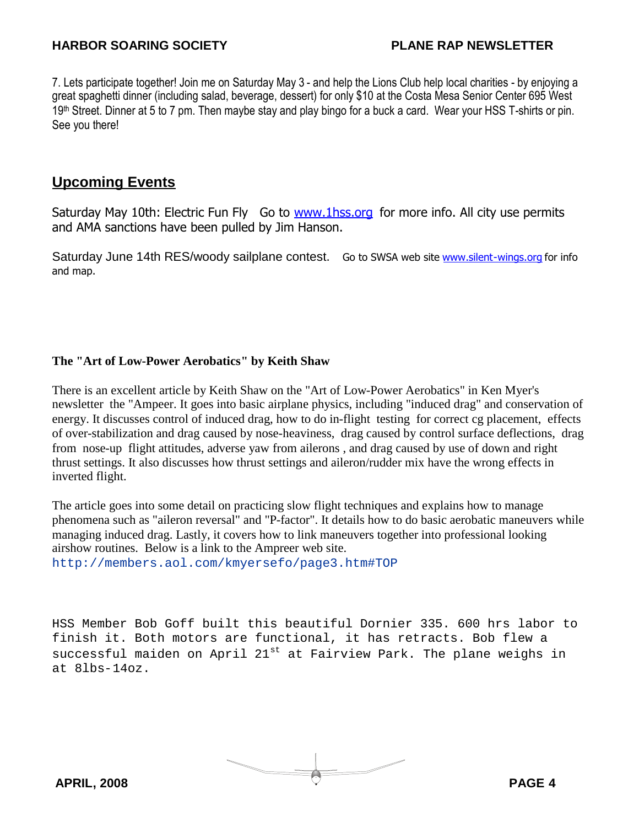7. Lets participate together! Join me on Saturday May 3 - and help the Lions Club help local charities - by enjoying a great spaghetti dinner (including salad, beverage, dessert) for only \$10 at the Costa Mesa Senior Center 695 West 19<sup>th</sup> Street. Dinner at 5 to 7 pm. Then maybe stay and play bingo for a buck a card. Wear your HSS T-shirts or pin. See you there!

## **Upcoming Events**

Saturday May 10th: Electric Fun Fly Go to [www.1hss.org](http://www.1hss.org/) for more info. All city use permits and AMA sanctions have been pulled by Jim Hanson.

Saturday June 14th RES/woody sailplane contest. Go to SWSA web site [www.silent-wings.org](http://www.silent-wings.org/) for info and map.

#### **The "Art of Low-Power Aerobatics" by Keith Shaw**

There is an excellent article by Keith Shaw on the "Art of Low-Power Aerobatics" in Ken Myer's newsletter the "Ampeer. It goes into basic airplane physics, including "induced drag" and conservation of energy. It discusses control of induced drag, how to do in-flight testing for correct cg placement, effects of over-stabilization and drag caused by nose-heaviness, drag caused by control surface deflections, drag from nose-up flight attitudes, adverse yaw from ailerons , and drag caused by use of down and right thrust settings. It also discusses how thrust settings and aileron/rudder mix have the wrong effects in inverted flight.

The article goes into some detail on practicing slow flight techniques and explains how to manage phenomena such as "aileron reversal" and "P-factor". It details how to do basic aerobatic maneuvers while managing induced drag. Lastly, it covers how to link maneuvers together into professional looking airshow routines. Below is a link to the Ampreer web site. [http://members.aol.com/kmyersefo/page3.htm#TOP](http://members.aol.com/kmyersefo/page3.htm#FEFF0054004F0050)

HSS Member Bob Goff built this beautiful Dornier 335. 600 hrs labor to finish it. Both motors are functional, it has retracts. Bob flew a successful maiden on April  $21^{st}$  at Fairview Park. The plane weighs in at 8lbs-14oz.

**APRIL, 2008 PAGE 4**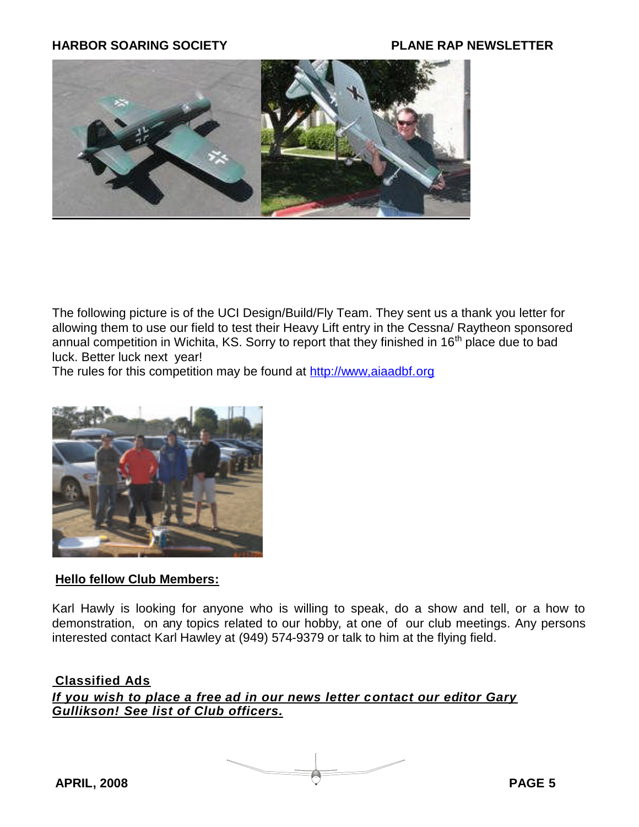

The following picture is of the UCI Design/Build/Fly Team. They sent us a thank you letter for allowing them to use our field to test their Heavy Lift entry in the Cessna/ Raytheon sponsored annual competition in Wichita, KS. Sorry to report that they finished in 16<sup>th</sup> place due to bad luck. Better luck next year!

The rules for this competition may be found at http://www.aiaadbf.org



#### **Hello fellow Club Members:**

Karl Hawly is looking for anyone who is willing to speak, do a show and tell, or a how to demonstration, on any topics related to our hobby, at one of our club meetings. Any persons interested contact Karl Hawley at (949) 574-9379 or talk to him at the flying field.

#### **Classified Ads**

*If you wish to place a free ad in our news letter contact our editor Gary Gullikson! See list of Club officers.*

**APRIL, 2008 PAGE 5**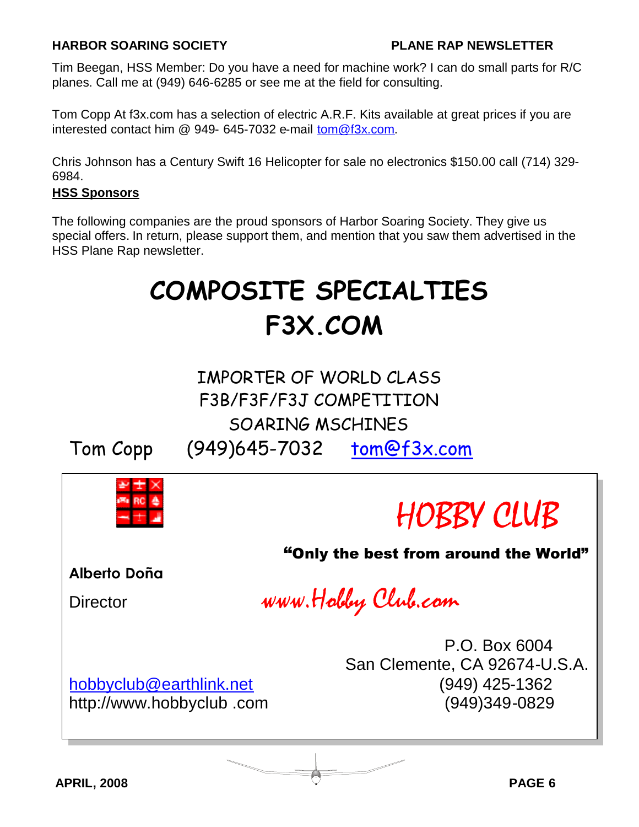Tim Beegan, HSS Member: Do you have a need for machine work? I can do small parts for R/C planes. Call me at (949) 646-6285 or see me at the field for consulting.

Tom Copp At f3x.com has a selection of electric A.R.F. Kits available at great prices if you are interested contact him @ 949- 645-7032 e-mail [tom@f3x.com.](mailto:tom@f3x.com)

Chris Johnson has a Century Swift 16 Helicopter for sale no electronics \$150.00 call (714) 329- 6984.

#### **HSS Sponsors**

The following companies are the proud sponsors of Harbor Soaring Society. They give us special offers. In return, please support them, and mention that you saw them advertised in the HSS Plane Rap newsletter.

# **COMPOSITE SPECIALTIES F3X.COM**

## IMPORTER OF WORLD CLASS F3B/F3F/F3J COMPETITION SOARING MSCHINES Tom Copp (949)645-7032 [tom@f3x.com](mailto:tom@f3x.com)



http://www.hobbyclub .com (949)349-0829

**APRIL, 2008 PAGE 6**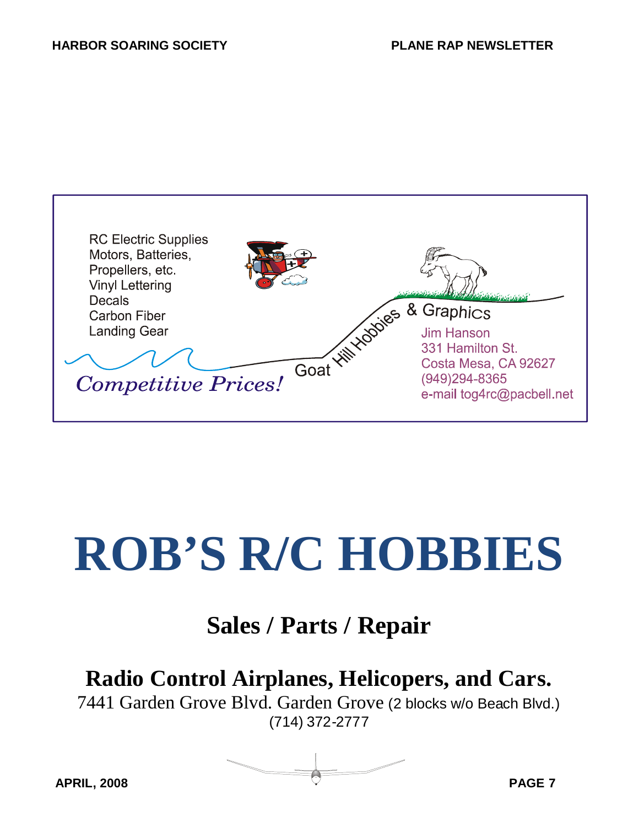

# **ROB'S R/C HOBBIES**

## **Sales / Parts / Repair**

## **Radio Control Airplanes, Helicopers, and Cars.**

7441 Garden Grove Blvd. Garden Grove (2 blocks w/o Beach Blvd.) (714) 372-2777

**APRIL, 2008 PAGE 7**